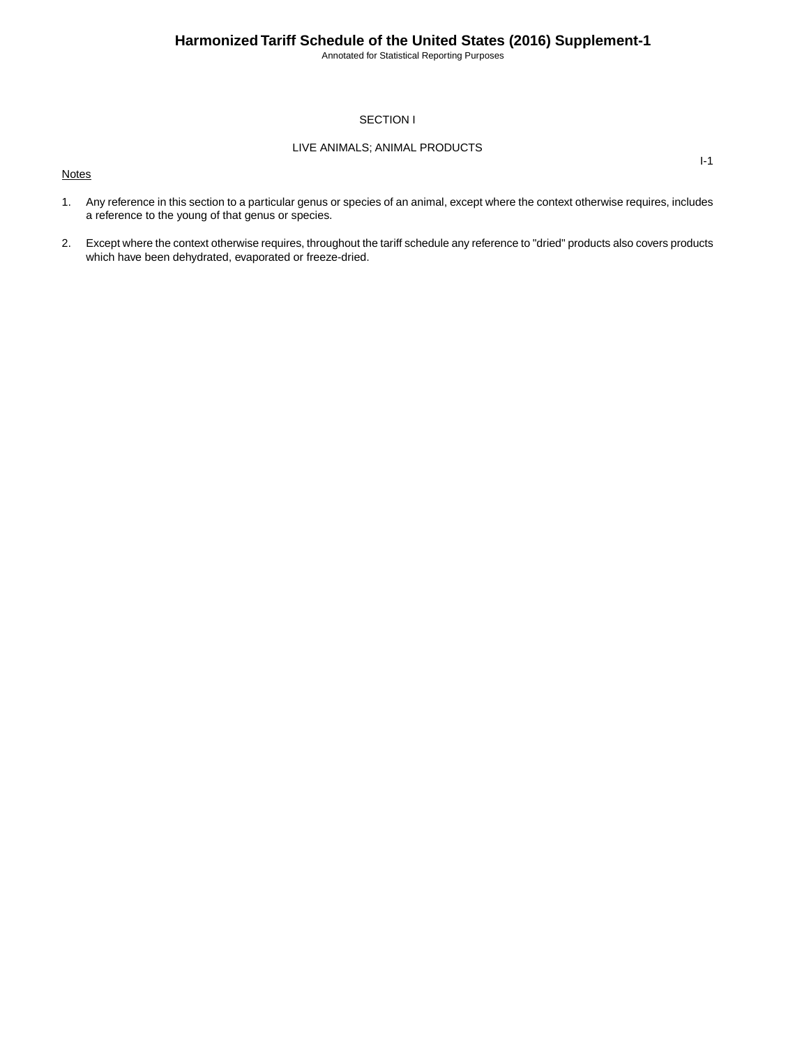Annotated for Statistical Reporting Purposes

I-1

### SECTION I

### LIVE ANIMALS; ANIMAL PRODUCTS

**Notes** 

1. Any reference in this section to a particular genus or species of an animal, except where the context otherwise requires, includes a reference to the young of that genus or species.

2. Except where the context otherwise requires, throughout the tariff schedule any reference to "dried" products also covers products which have been dehydrated, evaporated or freeze-dried.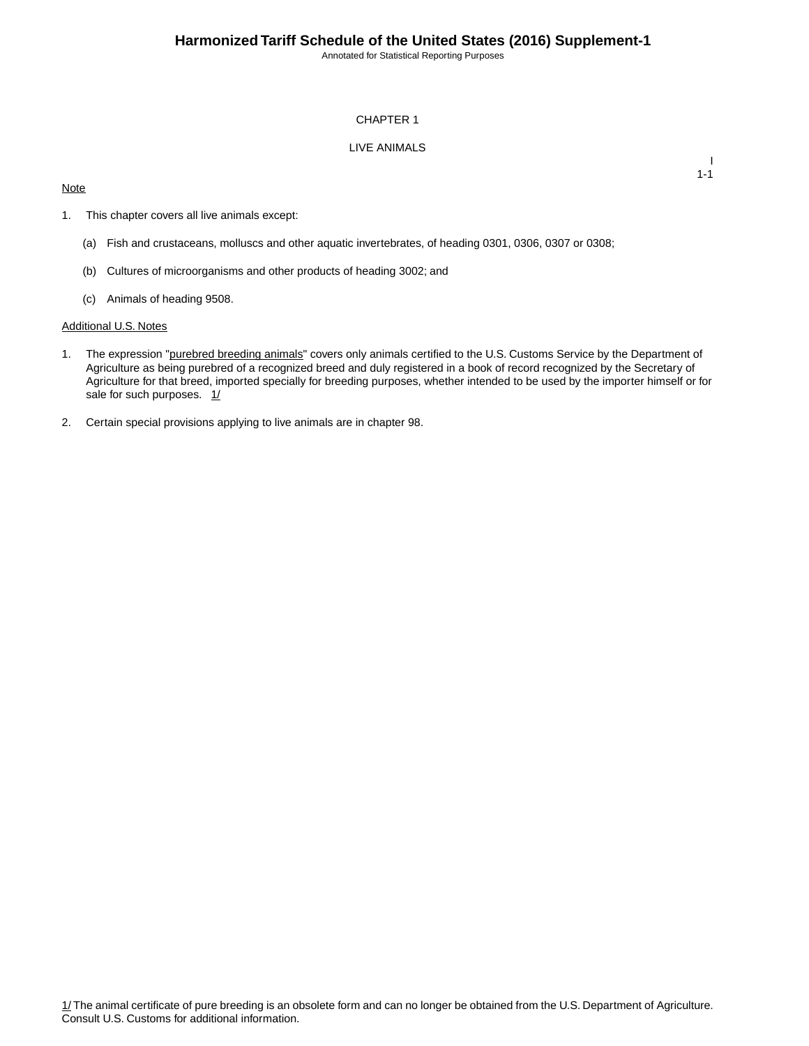Annotated for Statistical Reporting Purposes

### CHAPTER 1

### LIVE ANIMALS

### **Note**

I 1-1

- 1. This chapter covers all live animals except:
	- (a) Fish and crustaceans, molluscs and other aquatic invertebrates, of heading 0301, 0306, 0307 or 0308;
	- (b) Cultures of microorganisms and other products of heading 3002; and
	- (c) Animals of heading 9508.

#### Additional U.S. Notes

- 1. The expression "purebred breeding animals" covers only animals certified to the U.S. Customs Service by the Department of Agriculture as being purebred of a recognized breed and duly registered in a book of record recognized by the Secretary of Agriculture for that breed, imported specially for breeding purposes, whether intended to be used by the importer himself or for sale for such purposes.  $1/$
- 2. Certain special provisions applying to live animals are in chapter 98.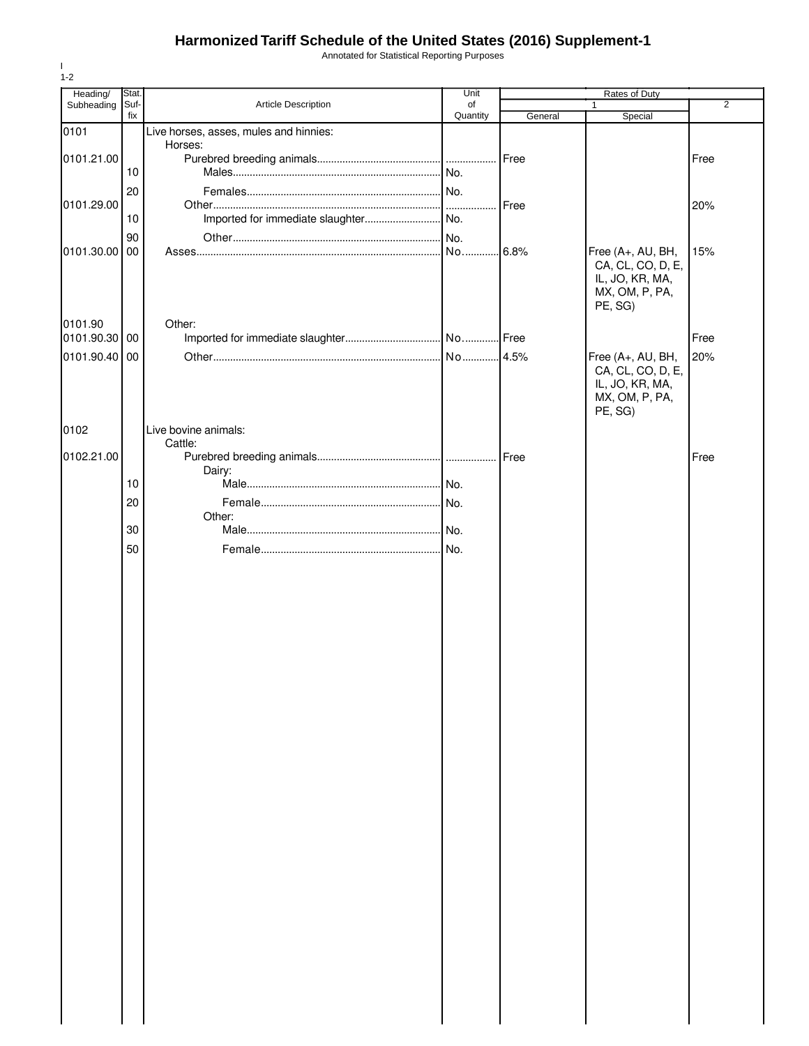Annotated for Statistical Reporting Purposes

| Heading/   | Stat. |                                        | Unit     | Rates of Duty |                                                                                        |                |
|------------|-------|----------------------------------------|----------|---------------|----------------------------------------------------------------------------------------|----------------|
| Subheading | Suf-  | Article Description                    | of       |               | $\mathbf{1}$                                                                           | $\overline{2}$ |
| 0101       | fix   | Live horses, asses, mules and hinnies: | Quantity | General       | Special                                                                                |                |
|            |       | Horses:                                |          |               |                                                                                        |                |
| 0101.21.00 |       |                                        |          | Free          |                                                                                        | Free           |
|            | 10    |                                        |          |               |                                                                                        |                |
|            | 20    |                                        |          |               |                                                                                        |                |
| 0101.29.00 | 10    |                                        |          | Free          |                                                                                        | 20%            |
|            | 90    |                                        |          |               |                                                                                        |                |
| 0101.30.00 | 00    |                                        |          |               | Free (A+, AU, BH,                                                                      | 15%            |
|            |       |                                        |          |               | CA, CL, CO, D, E,<br>IL, JO, KR, MA,<br>MX, OM, P, PA,<br>PE, SG)                      |                |
| 0101.90    |       | Other:                                 |          |               |                                                                                        |                |
| 0101.90.30 | 00    |                                        |          |               |                                                                                        | Free           |
| 0101.90.40 | 00    |                                        |          |               | Free (A+, AU, BH,<br>CA, CL, CO, D, E,<br>IL, JO, KR, MA,<br>MX, OM, P, PA,<br>PE, SG) | 20%            |
| 0102       |       | Live bovine animals:                   |          |               |                                                                                        |                |
| 0102.21.00 |       | Cattle:                                |          |               |                                                                                        | Free           |
|            |       | Dairy:                                 |          |               |                                                                                        |                |
|            | 10    |                                        |          |               |                                                                                        |                |
|            | 20    |                                        |          |               |                                                                                        |                |
|            |       | Other:                                 |          |               |                                                                                        |                |
|            | 30    |                                        |          |               |                                                                                        |                |
|            | 50    |                                        |          |               |                                                                                        |                |
|            |       |                                        |          |               |                                                                                        |                |
|            |       |                                        |          |               |                                                                                        |                |
|            |       |                                        |          |               |                                                                                        |                |
|            |       |                                        |          |               |                                                                                        |                |
|            |       |                                        |          |               |                                                                                        |                |
|            |       |                                        |          |               |                                                                                        |                |
|            |       |                                        |          |               |                                                                                        |                |
|            |       |                                        |          |               |                                                                                        |                |
|            |       |                                        |          |               |                                                                                        |                |
|            |       |                                        |          |               |                                                                                        |                |
|            |       |                                        |          |               |                                                                                        |                |
|            |       |                                        |          |               |                                                                                        |                |
|            |       |                                        |          |               |                                                                                        |                |
|            |       |                                        |          |               |                                                                                        |                |
|            |       |                                        |          |               |                                                                                        |                |
|            |       |                                        |          |               |                                                                                        |                |
|            |       |                                        |          |               |                                                                                        |                |
|            |       |                                        |          |               |                                                                                        |                |
|            |       |                                        |          |               |                                                                                        |                |
|            |       |                                        |          |               |                                                                                        |                |
|            |       |                                        |          |               |                                                                                        |                |
|            |       |                                        |          |               |                                                                                        |                |
|            |       |                                        |          |               |                                                                                        |                |
|            |       |                                        |          |               |                                                                                        |                |
|            |       |                                        |          |               |                                                                                        |                |
|            |       |                                        |          |               |                                                                                        |                |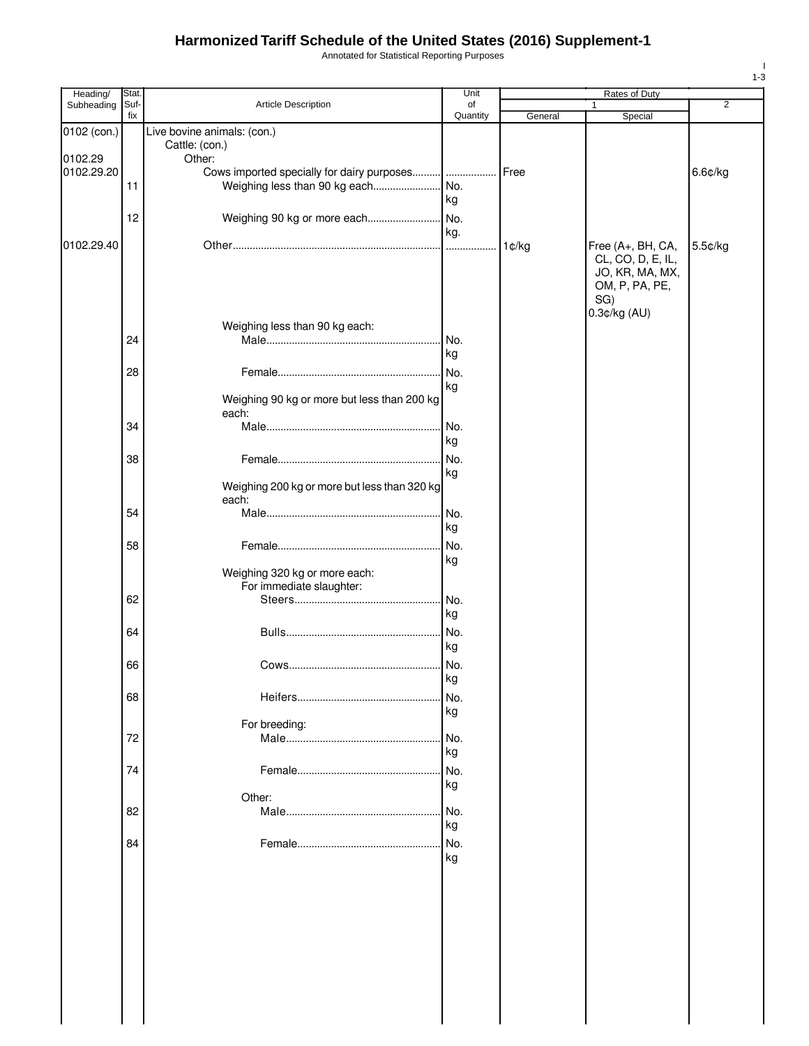Annotated for Statistical Reporting Purposes

| Heading/    | Stat.       |                                               | Unit     |         | Rates of Duty     |                |
|-------------|-------------|-----------------------------------------------|----------|---------|-------------------|----------------|
| Subheading  | Suf-<br>fix | Article Description                           | of       |         | 1                 | $\overline{2}$ |
|             |             |                                               | Quantity | General | Special           |                |
| 0102 (con.) |             | Live bovine animals: (con.)<br>Cattle: (con.) |          |         |                   |                |
| 0102.29     |             | Other:                                        |          |         |                   |                |
| 0102.29.20  |             |                                               |          | Free    |                   | $6.6$ ¢/kg     |
|             | 11          | Weighing less than 90 kg each                 | No.      |         |                   |                |
|             |             |                                               | kg       |         |                   |                |
|             | 12          | Weighing 90 kg or more each                   | No.      |         |                   |                |
|             |             |                                               | kg.      |         |                   |                |
| 0102.29.40  |             |                                               | .        | 1¢/kg   | Free (A+, BH, CA, | 5.5¢/kg        |
|             |             |                                               |          |         | CL, CO, D, E, IL, |                |
|             |             |                                               |          |         | JO, KR, MA, MX,   |                |
|             |             |                                               |          |         | OM, P, PA, PE,    |                |
|             |             |                                               |          |         | SG)               |                |
|             |             |                                               |          |         | 0.3¢/kg (AU)      |                |
|             |             | Weighing less than 90 kg each:                |          |         |                   |                |
|             | 24          |                                               | No.      |         |                   |                |
|             |             |                                               | kg       |         |                   |                |
|             | 28          |                                               | No.      |         |                   |                |
|             |             |                                               | kg       |         |                   |                |
|             |             | Weighing 90 kg or more but less than 200 kg   |          |         |                   |                |
|             |             | each:                                         |          |         |                   |                |
|             | 34          |                                               | No.      |         |                   |                |
|             |             |                                               | kg       |         |                   |                |
|             | 38          |                                               | No.      |         |                   |                |
|             |             |                                               | kg       |         |                   |                |
|             |             | Weighing 200 kg or more but less than 320 kg  |          |         |                   |                |
|             |             | each:                                         |          |         |                   |                |
|             | 54          |                                               | No.      |         |                   |                |
|             |             |                                               | kg       |         |                   |                |
|             | 58          |                                               | No.      |         |                   |                |
|             |             |                                               | kg       |         |                   |                |
|             |             | Weighing 320 kg or more each:                 |          |         |                   |                |
|             |             | For immediate slaughter:                      |          |         |                   |                |
|             | 62          |                                               | No.      |         |                   |                |
|             |             |                                               | kg       |         |                   |                |
|             | 64          |                                               | No.      |         |                   |                |
|             |             |                                               | kg       |         |                   |                |
|             | 66          |                                               | No.      |         |                   |                |
|             |             |                                               | кg       |         |                   |                |
|             | 68          |                                               | No.      |         |                   |                |
|             |             |                                               | kg       |         |                   |                |
|             |             | For breeding:                                 |          |         |                   |                |
|             | 72          |                                               | No.      |         |                   |                |
|             |             |                                               | kg       |         |                   |                |
|             | 74          |                                               | No.      |         |                   |                |
|             |             |                                               | kg       |         |                   |                |
|             |             | Other:                                        |          |         |                   |                |
|             | 82          |                                               | No.      |         |                   |                |
|             |             |                                               | kg       |         |                   |                |
|             | 84          |                                               | No.      |         |                   |                |
|             |             |                                               | kg       |         |                   |                |
|             |             |                                               |          |         |                   |                |
|             |             |                                               |          |         |                   |                |
|             |             |                                               |          |         |                   |                |
|             |             |                                               |          |         |                   |                |
|             |             |                                               |          |         |                   |                |
|             |             |                                               |          |         |                   |                |
|             |             |                                               |          |         |                   |                |
|             |             |                                               |          |         |                   |                |
|             |             |                                               |          |         |                   |                |
|             |             |                                               |          |         |                   |                |
|             |             |                                               |          |         |                   |                |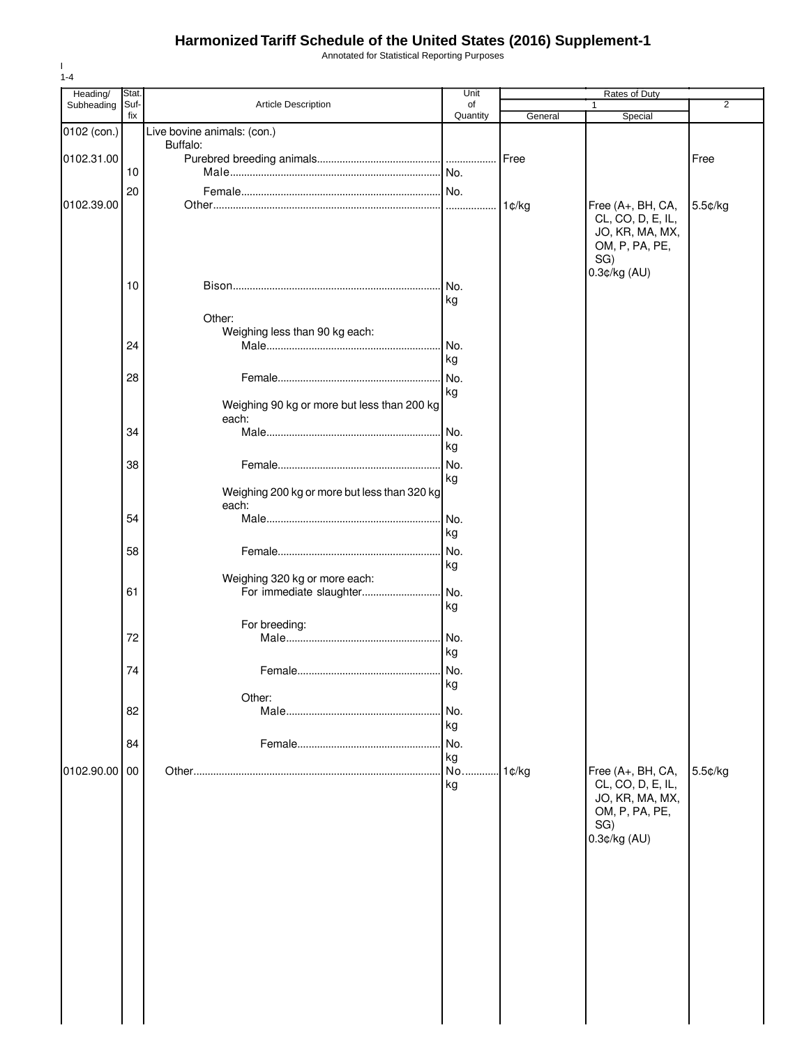Annotated for Statistical Reporting Purposes

| Heading/    | Stat. |                                                       | Unit      |         | Rates of Duty                                                                      |                |
|-------------|-------|-------------------------------------------------------|-----------|---------|------------------------------------------------------------------------------------|----------------|
| Subheading  | Suf-  | Article Description                                   | of        |         | 1                                                                                  | $\overline{2}$ |
|             | fix   |                                                       | Quantity  | General | Special                                                                            |                |
| 0102 (con.) |       | Live bovine animals: (con.)                           |           |         |                                                                                    |                |
| 0102.31.00  |       | Buffalo:                                              |           | Free    |                                                                                    | Free           |
|             | 10    |                                                       |           |         |                                                                                    |                |
|             |       |                                                       |           |         |                                                                                    |                |
|             | 20    |                                                       |           |         |                                                                                    |                |
| 0102.39.00  |       |                                                       |           | 1¢/kg   | Free (A+, BH, CA,<br>CL, CO, D, E, IL,<br>JO, KR, MA, MX,<br>OM, P, PA, PE,<br>SG) | 5.5¢/kg        |
|             |       |                                                       |           |         | 0.3¢/kg (AU)                                                                       |                |
|             | 10    | Other:                                                | No.<br>kg |         |                                                                                    |                |
|             |       | Weighing less than 90 kg each:                        |           |         |                                                                                    |                |
|             | 24    |                                                       | No.       |         |                                                                                    |                |
|             |       |                                                       | kg        |         |                                                                                    |                |
|             | 28    |                                                       | No.       |         |                                                                                    |                |
|             |       |                                                       | kg        |         |                                                                                    |                |
|             |       | Weighing 90 kg or more but less than 200 kg<br>each:  |           |         |                                                                                    |                |
|             | 34    |                                                       | No.       |         |                                                                                    |                |
|             |       |                                                       | kg        |         |                                                                                    |                |
|             | 38    |                                                       | No.       |         |                                                                                    |                |
|             |       |                                                       | kg        |         |                                                                                    |                |
|             |       | Weighing 200 kg or more but less than 320 kg<br>each: |           |         |                                                                                    |                |
|             | 54    |                                                       | No.       |         |                                                                                    |                |
|             |       |                                                       | kg        |         |                                                                                    |                |
|             | 58    |                                                       | No.       |         |                                                                                    |                |
|             |       |                                                       | kg        |         |                                                                                    |                |
|             |       | Weighing 320 kg or more each:                         |           |         |                                                                                    |                |
|             | 61    | For immediate slaughter                               | No.       |         |                                                                                    |                |
|             |       |                                                       | kg        |         |                                                                                    |                |
|             |       | For breeding:                                         |           |         |                                                                                    |                |
|             | 72    |                                                       | No.       |         |                                                                                    |                |
|             |       |                                                       | kg        |         |                                                                                    |                |
|             | 74    |                                                       | No.       |         |                                                                                    |                |
|             |       |                                                       | kg        |         |                                                                                    |                |
|             |       | Other:                                                |           |         |                                                                                    |                |
|             | 82    |                                                       | No.       |         |                                                                                    |                |
|             |       |                                                       | kg        |         |                                                                                    |                |
|             | 84    |                                                       | No.       |         |                                                                                    |                |
| 0102.90.00  | 00    |                                                       | kg<br>No. |         |                                                                                    |                |
|             |       |                                                       | kg        | 1¢/kg   | Free (A+, BH, CA,<br>CL, CO, D, E, IL,                                             | 5.5¢/kg        |
|             |       |                                                       |           |         | JO, KR, MA, MX,                                                                    |                |
|             |       |                                                       |           |         | OM, P, PA, PE,                                                                     |                |
|             |       |                                                       |           |         | SG)                                                                                |                |
|             |       |                                                       |           |         | 0.3¢/kg (AU)                                                                       |                |
|             |       |                                                       |           |         |                                                                                    |                |
|             |       |                                                       |           |         |                                                                                    |                |
|             |       |                                                       |           |         |                                                                                    |                |
|             |       |                                                       |           |         |                                                                                    |                |
|             |       |                                                       |           |         |                                                                                    |                |
|             |       |                                                       |           |         |                                                                                    |                |
|             |       |                                                       |           |         |                                                                                    |                |
|             |       |                                                       |           |         |                                                                                    |                |
|             |       |                                                       |           |         |                                                                                    |                |
|             |       |                                                       |           |         |                                                                                    |                |
|             |       |                                                       |           |         |                                                                                    |                |
|             |       |                                                       |           |         |                                                                                    |                |
|             |       |                                                       |           |         |                                                                                    |                |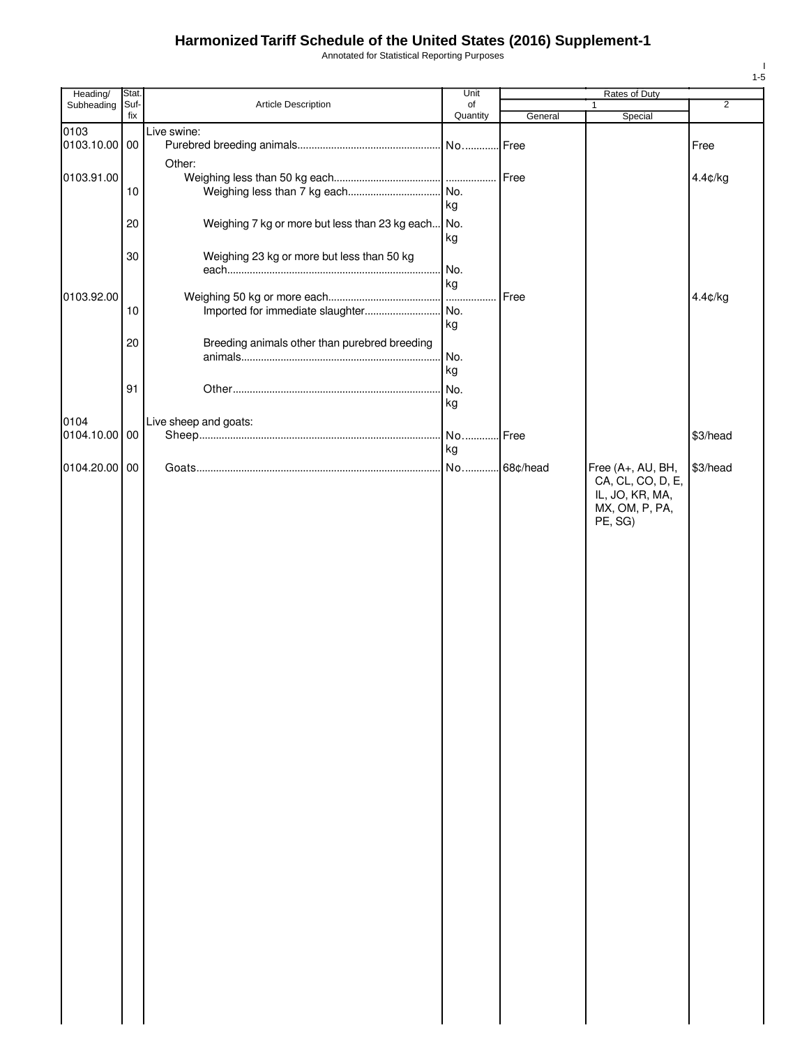Annotated for Statistical Reporting Purposes

| Heading/      | Stat. |                                                | Unit     |           | Rates of Duty                          |                |
|---------------|-------|------------------------------------------------|----------|-----------|----------------------------------------|----------------|
| Subheading    | Suf-  | Article Description                            | of       |           |                                        | $\overline{2}$ |
|               | fix   |                                                | Quantity | General   | Special                                |                |
| 0103          |       | Live swine:                                    |          |           |                                        |                |
| 0103.10.00 00 |       |                                                |          |           |                                        | Free           |
|               |       | Other:                                         |          |           |                                        |                |
| 0103.91.00    |       |                                                |          | Free      |                                        | 4.4¢/kg        |
|               | 10    |                                                |          |           |                                        |                |
|               |       |                                                | kg       |           |                                        |                |
|               | 20    | Weighing 7 kg or more but less than 23 kg each | No.      |           |                                        |                |
|               |       |                                                | kg       |           |                                        |                |
|               |       |                                                |          |           |                                        |                |
|               | 30    | Weighing 23 kg or more but less than 50 kg     |          |           |                                        |                |
|               |       |                                                | No.      |           |                                        |                |
|               |       |                                                | kg       |           |                                        |                |
| 0103.92.00    |       |                                                | $\cdots$ | Free      |                                        | 4.4¢/kg        |
|               | 10    | Imported for immediate slaughter               | No.      |           |                                        |                |
|               |       |                                                | kg       |           |                                        |                |
|               | 20    | Breeding animals other than purebred breeding  |          |           |                                        |                |
|               |       |                                                | No.      |           |                                        |                |
|               |       |                                                | kg       |           |                                        |                |
|               |       |                                                |          |           |                                        |                |
|               | 91    |                                                | No.      |           |                                        |                |
|               |       |                                                | kg       |           |                                        |                |
| 0104          |       | Live sheep and goats:                          |          |           |                                        |                |
| 0104.10.00    | 00    |                                                | No.      | Free      |                                        | \$3/head       |
|               |       |                                                | kg       |           |                                        |                |
| 0104.20.00 00 |       |                                                | No       | .68¢/head |                                        | \$3/head       |
|               |       |                                                |          |           | Free (A+, AU, BH,<br>CA, CL, CO, D, E, |                |
|               |       |                                                |          |           |                                        |                |
|               |       |                                                |          |           | IL, JO, KR, MA,                        |                |
|               |       |                                                |          |           | MX, OM, P, PA,                         |                |
|               |       |                                                |          |           | PE, SG)                                |                |
|               |       |                                                |          |           |                                        |                |
|               |       |                                                |          |           |                                        |                |
|               |       |                                                |          |           |                                        |                |
|               |       |                                                |          |           |                                        |                |
|               |       |                                                |          |           |                                        |                |
|               |       |                                                |          |           |                                        |                |
|               |       |                                                |          |           |                                        |                |
|               |       |                                                |          |           |                                        |                |
|               |       |                                                |          |           |                                        |                |
|               |       |                                                |          |           |                                        |                |
|               |       |                                                |          |           |                                        |                |
|               |       |                                                |          |           |                                        |                |
|               |       |                                                |          |           |                                        |                |
|               |       |                                                |          |           |                                        |                |
|               |       |                                                |          |           |                                        |                |
|               |       |                                                |          |           |                                        |                |
|               |       |                                                |          |           |                                        |                |
|               |       |                                                |          |           |                                        |                |
|               |       |                                                |          |           |                                        |                |
|               |       |                                                |          |           |                                        |                |
|               |       |                                                |          |           |                                        |                |
|               |       |                                                |          |           |                                        |                |
|               |       |                                                |          |           |                                        |                |
|               |       |                                                |          |           |                                        |                |
|               |       |                                                |          |           |                                        |                |
|               |       |                                                |          |           |                                        |                |
|               |       |                                                |          |           |                                        |                |
|               |       |                                                |          |           |                                        |                |
|               |       |                                                |          |           |                                        |                |
|               |       |                                                |          |           |                                        |                |
|               |       |                                                |          |           |                                        |                |
|               |       |                                                |          |           |                                        |                |
|               |       |                                                |          |           |                                        |                |
|               |       |                                                |          |           |                                        |                |
|               |       |                                                |          |           |                                        |                |
|               |       |                                                |          |           |                                        |                |
|               |       |                                                |          |           |                                        |                |
|               |       |                                                |          |           |                                        |                |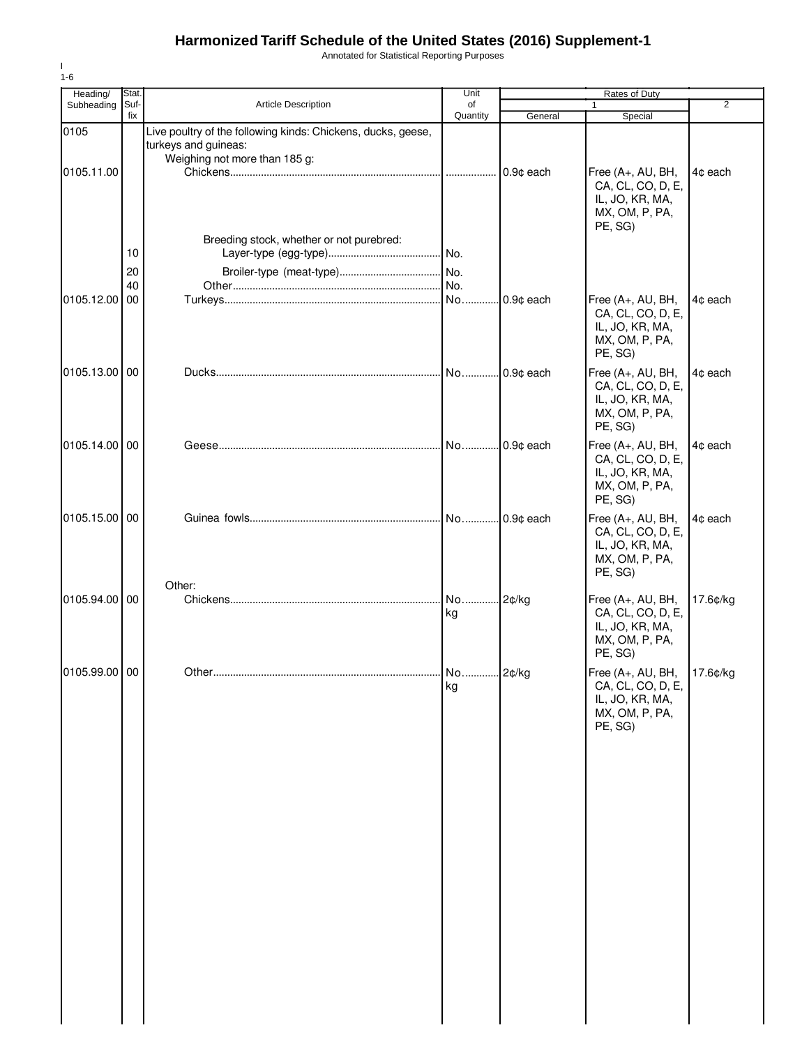Annotated for Statistical Reporting Purposes

| Heading/      | Stat.                |                                                                                      | Unit           |           | Rates of Duty                                                                                     |                |
|---------------|----------------------|--------------------------------------------------------------------------------------|----------------|-----------|---------------------------------------------------------------------------------------------------|----------------|
| Subheading    | Suf-                 | Article Description                                                                  | of             |           | 1                                                                                                 | $\overline{2}$ |
| 0105          | fix                  | Live poultry of the following kinds: Chickens, ducks, geese,<br>turkeys and guineas: | Quantity       | General   | Special                                                                                           |                |
| 0105.11.00    |                      | Weighing not more than 185 g:                                                        |                | 0.9¢ each | Free (A+, AU, BH,<br>CA, CL, CO, D, E,<br>IL, JO, KR, MA,<br>MX, OM, P, PA,                       | 4¢ each        |
| 0105.12.00    | 10<br>20<br>40<br>00 | Breeding stock, whether or not purebred:                                             |                |           | PE, SG)<br>Free (A+, AU, BH,<br>CA, CL, CO, D, E,<br>IL, JO, KR, MA,<br>MX, OM, P, PA,            | 4¢ each        |
| 0105.13.00    | 00                   |                                                                                      |                |           | PE, SG)<br>Free (A+, AU, BH,<br>CA, CL, CO, D, E,<br>IL, JO, KR, MA,<br>MX, OM, P, PA,<br>PE, SG) | 4¢ each        |
| 0105.14.00    | 00                   |                                                                                      |                |           | Free (A+, AU, BH,<br>CA, CL, CO, D, E,<br>IL, JO, KR, MA,<br>MX, OM, P, PA,<br>PE, SG)            | 4c each        |
| 0105.15.00    | 00                   |                                                                                      |                |           | Free (A+, AU, BH,<br>CA, CL, CO, D, E,<br>IL, JO, KR, MA,<br>MX, OM, P, PA,<br>PE, SG)            | 4¢ each        |
| 0105.94.00    | 00                   | Other:                                                                               | No 2¢/kg<br>kg |           | Free (A+, AU, BH,<br>CA, CL, CO, D, E,<br>IL, JO, KR, MA,<br>MX, OM, P, PA,<br>PE, SG)            | 17.6¢/kg       |
| 0105.99.00 00 |                      | Other                                                                                | No.<br>kg      | 2¢/ka     | Free (A+, AU, BH, 17.6¢/kg<br>CA, CL, CO, D, E,<br>IL, JO, KR, MA,<br>MX, OM, P, PA,<br>PE, SG)   |                |
|               |                      |                                                                                      |                |           |                                                                                                   |                |